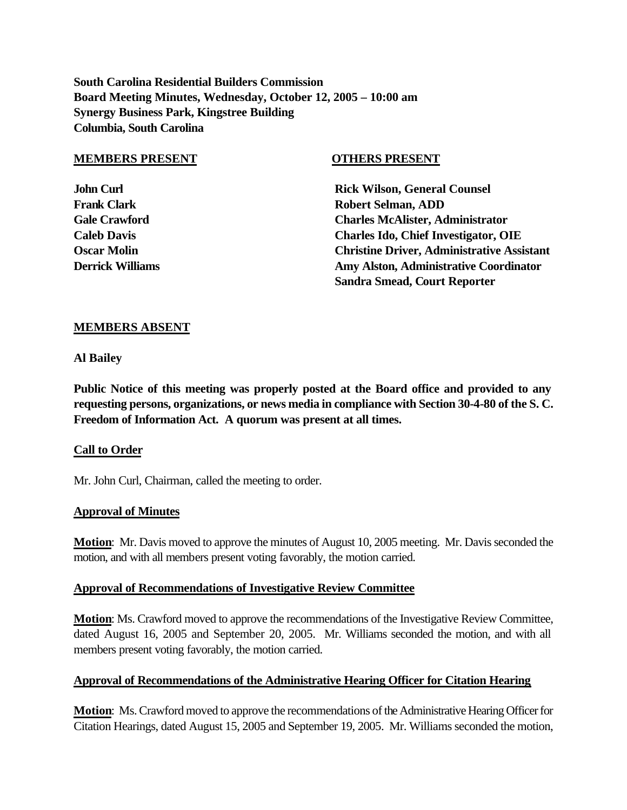**South Carolina Residential Builders Commission Board Meeting Minutes, Wednesday, October 12, 2005 – 10:00 am Synergy Business Park, Kingstree Building Columbia, South Carolina**

#### **MEMBERS PRESENT OTHERS PRESENT**

**John Curl Counsel Counsel Counsel Rick Wilson, General Counsel Frank Clark Clark Robert Selman, ADD Gale Crawford Charles McAlister, Administrator Caleb Davis Charles Ido, Chief Investigator, OIE Oscar Molin Christine Driver, Administrative Assistant Derrick Williams Coordinator Amy Alston, Administrative Coordinator Sandra Smead, Court Reporter**

## **MEMBERS ABSENT**

**Al Bailey**

**Public Notice of this meeting was properly posted at the Board office and provided to any requesting persons, organizations, or news media in compliance with Section 30-4-80 of the S. C. Freedom of Information Act. A quorum was present at all times.**

## **Call to Order**

Mr. John Curl, Chairman, called the meeting to order.

## **Approval of Minutes**

**Motion**: Mr. Davis moved to approve the minutes of August 10, 2005 meeting. Mr. Davis seconded the motion, and with all members present voting favorably, the motion carried.

## **Approval of Recommendations of Investigative Review Committee**

**Motion**: Ms. Crawford moved to approve the recommendations of the Investigative Review Committee, dated August 16, 2005 and September 20, 2005. Mr. Williams seconded the motion, and with all members present voting favorably, the motion carried.

## **Approval of Recommendations of the Administrative Hearing Officer for Citation Hearing**

**Motion**: Ms. Crawford moved to approve the recommendations of the Administrative Hearing Officer for Citation Hearings, dated August 15, 2005 and September 19, 2005. Mr. Williams seconded the motion,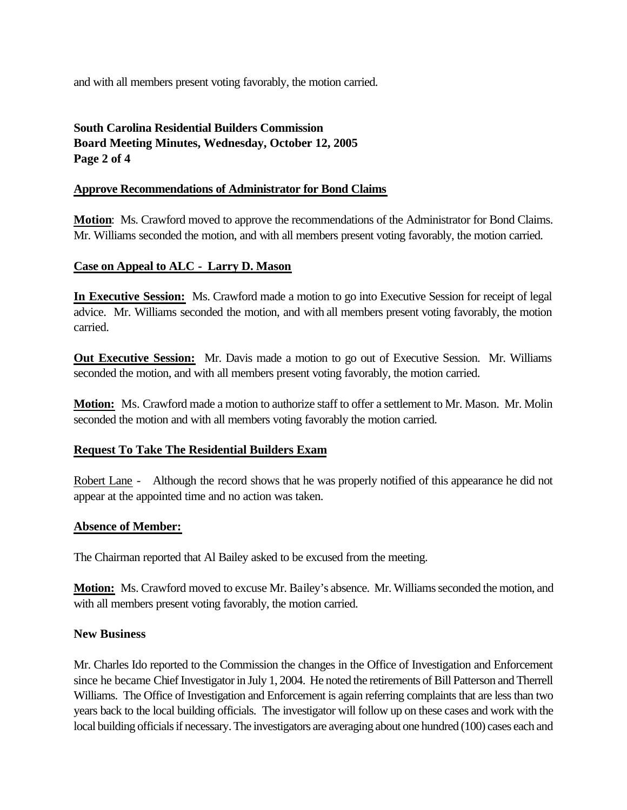and with all members present voting favorably, the motion carried.

# **South Carolina Residential Builders Commission Board Meeting Minutes, Wednesday, October 12, 2005 Page 2 of 4**

## **Approve Recommendations of Administrator for Bond Claims**

**Motion**: Ms. Crawford moved to approve the recommendations of the Administrator for Bond Claims. Mr. Williams seconded the motion, and with all members present voting favorably, the motion carried.

## **Case on Appeal to ALC - Larry D. Mason**

**In Executive Session:** Ms. Crawford made a motion to go into Executive Session for receipt of legal advice. Mr. Williams seconded the motion, and with all members present voting favorably, the motion carried.

**Out Executive Session:** Mr. Davis made a motion to go out of Executive Session. Mr. Williams seconded the motion, and with all members present voting favorably, the motion carried.

**Motion:** Ms. Crawford made a motion to authorize staff to offer a settlement to Mr. Mason. Mr. Molin seconded the motion and with all members voting favorably the motion carried.

## **Request To Take The Residential Builders Exam**

Robert Lane - Although the record shows that he was properly notified of this appearance he did not appear at the appointed time and no action was taken.

## **Absence of Member:**

The Chairman reported that Al Bailey asked to be excused from the meeting.

**Motion:** Ms. Crawford moved to excuse Mr. Bailey's absence. Mr. Williams seconded the motion, and with all members present voting favorably, the motion carried.

## **New Business**

Mr. Charles Ido reported to the Commission the changes in the Office of Investigation and Enforcement since he became Chief Investigator in July 1, 2004. He noted the retirements of Bill Patterson and Therrell Williams. The Office of Investigation and Enforcement is again referring complaints that are less than two years back to the local building officials. The investigator will follow up on these cases and work with the local building officials if necessary. The investigators are averaging about one hundred (100) cases each and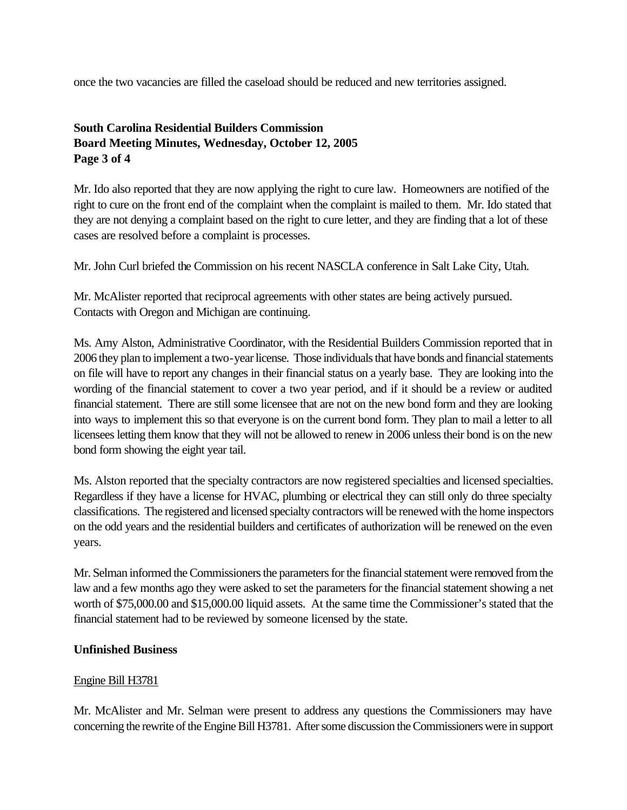once the two vacancies are filled the caseload should be reduced and new territories assigned.

# **South Carolina Residential Builders Commission Board Meeting Minutes, Wednesday, October 12, 2005 Page 3 of 4**

Mr. Ido also reported that they are now applying the right to cure law. Homeowners are notified of the right to cure on the front end of the complaint when the complaint is mailed to them. Mr. Ido stated that they are not denying a complaint based on the right to cure letter, and they are finding that a lot of these cases are resolved before a complaint is processes.

Mr. John Curl briefed the Commission on his recent NASCLA conference in Salt Lake City, Utah.

Mr. McAlister reported that reciprocal agreements with other states are being actively pursued. Contacts with Oregon and Michigan are continuing.

Ms. Amy Alston, Administrative Coordinator, with the Residential Builders Commission reported that in 2006 they plan to implement a two-year license. Those individuals that have bonds and financial statements on file will have to report any changes in their financial status on a yearly base. They are looking into the wording of the financial statement to cover a two year period, and if it should be a review or audited financial statement. There are still some licensee that are not on the new bond form and they are looking into ways to implement this so that everyone is on the current bond form. They plan to mail a letter to all licensees letting them know that they will not be allowed to renew in 2006 unless their bond is on the new bond form showing the eight year tail.

Ms. Alston reported that the specialty contractors are now registered specialties and licensed specialties. Regardless if they have a license for HVAC, plumbing or electrical they can still only do three specialty classifications. The registered and licensed specialty contractors will be renewed with the home inspectors on the odd years and the residential builders and certificates of authorization will be renewed on the even years.

Mr. Selman informed the Commissioners the parameters for the financial statement were removed from the law and a few months ago they were asked to set the parameters for the financial statement showing a net worth of \$75,000.00 and \$15,000.00 liquid assets. At the same time the Commissioner's stated that the financial statement had to be reviewed by someone licensed by the state.

## **Unfinished Business**

## Engine Bill H3781

Mr. McAlister and Mr. Selman were present to address any questions the Commissioners may have concerning the rewrite of the Engine Bill H3781. After some discussion the Commissioners were in support